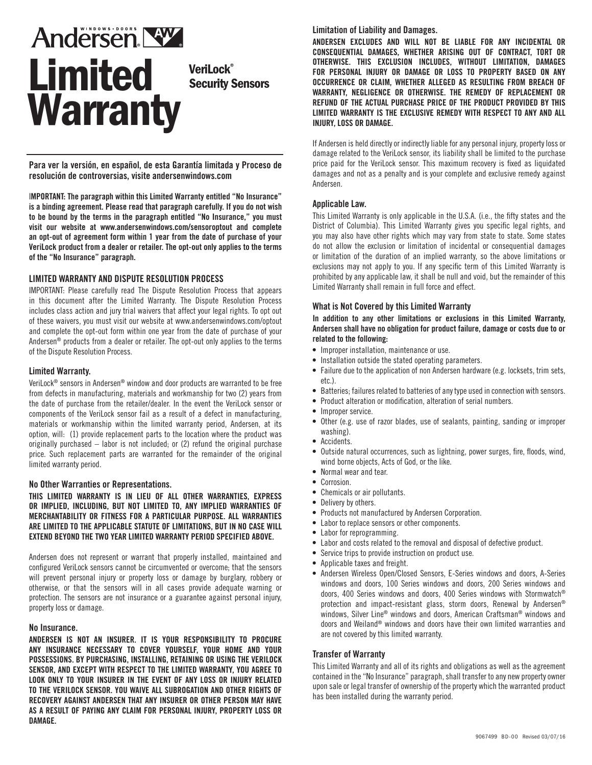# **Andersen NW** Limited Veril ock® Security Sensors **Warranty**

**Para ver la versión, en español, de esta Garantía limitada y Proceso de resolución de controversias, visite andersenwindows.com**

I**MPORTANT: The paragraph within this Limited Warranty entitled "No Insurance" is a binding agreement. Please read that paragraph carefully. If you do not wish to be bound by the terms in the paragraph entitled "No Insurance," you must visit our website at www.andersenwindows.com/sensoroptout and complete an opt-out of agreement form within 1 year from the date of purchase of your VeriLock product from a dealer or retailer. The opt-out only applies to the terms of the "No Insurance" paragraph.**

# **LIMITED WARRANTY AND DISPUTE RESOLUTION PROCESS**

IMPORTANT: Please carefully read The Dispute Resolution Process that appears in this document after the Limited Warranty. The Dispute Resolution Process includes class action and jury trial waivers that affect your legal rights. To opt out of these waivers, you must visit our website at www.andersenwindows.com/optout and complete the opt-out form within one year from the date of purchase of your Andersen® products from a dealer or retailer. The opt-out only applies to the terms of the Dispute Resolution Process.

#### **Limited Warranty.**

VeriLock® sensors in Andersen® window and door products are warranted to be free from defects in manufacturing, materials and workmanship for two (2) years from the date of purchase from the retailer/dealer. In the event the VeriLock sensor or components of the VeriLock sensor fail as a result of a defect in manufacturing, materials or workmanship within the limited warranty period, Andersen, at its option, will: (1) provide replacement parts to the location where the product was originally purchased – labor is not included; or (2) refund the original purchase price. Such replacement parts are warranted for the remainder of the original limited warranty period.

#### **No Other Warranties or Representations.**

**THIS LIMITED WARRANTY IS IN LIEU OF ALL OTHER WARRANTIES, EXPRESS OR IMPLIED, INCLUDING, BUT NOT LIMITED TO, ANY IMPLIED WARRANTIES OF MERCHANTABILITY OR FITNESS FOR A PARTICULAR PURPOSE. ALL WARRANTIES ARE LIMITED TO THE APPLICABLE STATUTE OF LIMITATIONS, BUT IN NO CASE WILL EXTEND BEYOND THE TWO YEAR LIMITED WARRANTY PERIOD SPECIFIED ABOVE.**

Andersen does not represent or warrant that properly installed, maintained and configured VeriLock sensors cannot be circumvented or overcome; that the sensors will prevent personal injury or property loss or damage by burglary, robbery or otherwise, or that the sensors will in all cases provide adequate warning or protection. The sensors are not insurance or a guarantee against personal injury, property loss or damage.

#### **No Insurance.**

**ANDERSEN IS NOT AN INSURER. IT IS YOUR RESPONSIBILITY TO PROCURE ANY INSURANCE NECESSARY TO COVER YOURSELF, YOUR HOME AND YOUR POSSESSIONS. BY PURCHASING, INSTALLING, RETAINING OR USING THE VERILOCK SENSOR, AND EXCEPT WITH RESPECT TO THE LIMITED WARRANTY, YOU AGREE TO LOOK ONLY TO YOUR INSURER IN THE EVENT OF ANY LOSS OR INJURY RELATED TO THE VERILOCK SENSOR. YOU WAIVE ALL SUBROGATION AND OTHER RIGHTS OF RECOVERY AGAINST ANDERSEN THAT ANY INSURER OR OTHER PERSON MAY HAVE AS A RESULT OF PAYING ANY CLAIM FOR PERSONAL INJURY, PROPERTY LOSS OR DAMAG**E.

#### **Limitation of Liability and Damages.**

**ANDERSEN EXCLUDES AND WILL NOT BE LIABLE FOR ANY INCIDENTAL OR CONSEQUENTIAL DAMAGES, WHETHER ARISING OUT OF CONTRACT, TORT OR OTHERWISE. THIS EXCLUSION INCLUDES, WITHOUT LIMITATION, DAMAGES FOR PERSONAL INJURY OR DAMAGE OR LOSS TO PROPERTY BASED ON ANY OCCURRENCE OR CLAIM, WHETHER ALLEGED AS RESULTING FROM BREACH OF WARRANTY, NEGLIGENCE OR OTHERWISE. THE REMEDY OF REPLACEMENT OR REFUND OF THE ACTUAL PURCHASE PRICE OF THE PRODUCT PROVIDED BY THIS LIMITED WARRANTY IS THE EXCLUSIVE REMEDY WITH RESPECT TO ANY AND ALL INJURY, LOSS OR DAMAGE.** 

If Andersen is held directly or indirectly liable for any personal injury, property loss or damage related to the VeriLock sensor, its liability shall be limited to the purchase price paid for the VeriLock sensor. This maximum recovery is fixed as liquidated damages and not as a penalty and is your complete and exclusive remedy against Andersen.

## **Applicable Law.**

This Limited Warranty is only applicable in the U.S.A. (i.e., the fifty states and the District of Columbia). This Limited Warranty gives you specific legal rights, and you may also have other rights which may vary from state to state. Some states do not allow the exclusion or limitation of incidental or consequential damages or limitation of the duration of an implied warranty, so the above limitations or exclusions may not apply to you. If any specific term of this Limited Warranty is prohibited by any applicable law, it shall be null and void, but the remainder of this Limited Warranty shall remain in full force and effect.

#### **What is Not Covered by this Limited Warranty**

I**n addition to any other limitations or exclusions in this Limited Warranty, Andersen shall have no obligation for product failure, damage or costs due to or related to the following:**

- Improper installation, maintenance or use.
- Installation outside the stated operating parameters.
- Failure due to the application of non Andersen hardware (e.g. locksets, trim sets, etc.).
- Batteries; failures related to batteries of any type used in connection with sensors.
- Product alteration or modification, alteration of serial numbers.
- Improper service.
- Other (e.g. use of razor blades, use of sealants, painting, sanding or improper washing).
- Accidents.
- Outside natural occurrences, such as lightning, power surges, fire, floods, wind, wind borne objects, Acts of God, or the like.
- Normal wear and tear.
- Corrosion.
- Chemicals or air pollutants.
- Delivery by others.
- Products not manufactured by Andersen Corporation.
- Labor to replace sensors or other components.
- Labor for reprogramming.
- Labor and costs related to the removal and disposal of defective product.
- Service trips to provide instruction on product use.
- Applicable taxes and freight.
- Andersen Wireless Open/Closed Sensors, E-Series windows and doors, A-Series windows and doors, 100 Series windows and doors, 200 Series windows and doors, 400 Series windows and doors, 400 Series windows with Stormwatch® protection and impact-resistant glass, storm doors, Renewal by Andersen® windows, Silver Line® windows and doors, American Craftsman® windows and doors and Weiland® windows and doors have their own limited warranties and are not covered by this limited warranty.

#### **Transfer of Warranty**

This Limited Warranty and all of its rights and obligations as well as the agreement contained in the "No Insurance" paragraph, shall transfer to any new property owner upon sale or legal transfer of ownership of the property which the warranted product has been installed during the warranty period.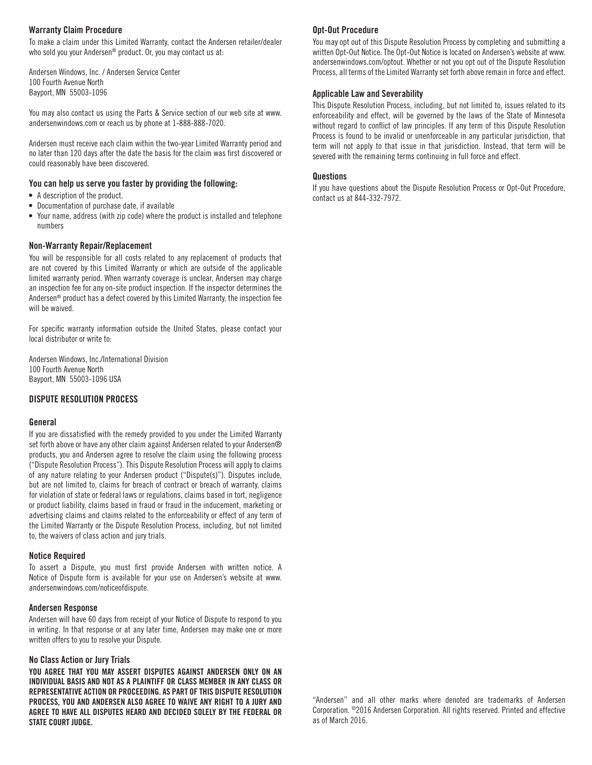## **Warranty Claim Procedure**

To make a claim under this Limited Warranty, contact the Andersen retailer/dealer who sold you your Andersen® product. Or, you may contact us at:

Andersen Windows, Inc. / Andersen Service Center 100 Fourth Avenue North Bayport, MN 55003-1096

You may also contact us using the Parts & Service section of our web site at www. andersenwindows.com or reach us by phone at 1-888-888-7020.

Andersen must receive each claim within the two-year Limited Warranty period and no later than 120 days after the date the basis for the claim was first discovered or could reasonably have been discovered.

# **You can help us serve you faster by providing the following:**

- A description of the product.
- Documentation of purchase date, if available
- Your name, address (with zip code) where the product is installed and telephone numbers

# **Non-Warranty Repair/Replacement**

You will be responsible for all costs related to any replacement of products that are not covered by this Limited Warranty or which are outside of the applicable limited warranty period. When warranty coverage is unclear, Andersen may charge an inspection fee for any on-site product inspection. If the inspector determines the Andersen® product has a defect covered by this Limited Warranty, the inspection fee will be waived.

For specific warranty information outside the United States, please contact your local distributor or write to:

Andersen Windows, Inc./International Division 100 Fourth Avenue North Bayport, MN 55003-1096 USA

# **DISPUTE RESOLUTION PROCESS**

# **General**

If you are dissatisfied with the remedy provided to you under the Limited Warranty set forth above or have any other claim against Andersen related to your Andersen® products, you and Andersen agree to resolve the claim using the following process ("Dispute Resolution Process"). This Dispute Resolution Process will apply to claims of any nature relating to your Andersen product ("Dispute(s)"). Disputes include, but are not limited to, claims for breach of contract or breach of warranty, claims for violation of state or federal laws or regulations, claims based in tort, negligence or product liability, claims based in fraud or fraud in the inducement, marketing or advertising claims and claims related to the enforceability or effect of any term of the Limited Warranty or the Dispute Resolution Process, including, but not limited to, the waivers of class action and jury trials.

# **Notice Required**

To assert a Dispute, you must first provide Andersen with written notice. A Notice of Dispute form is available for your use on Andersen's website at www. andersenwindows.com/noticeofdispute.

## **Andersen Response**

Andersen will have 60 days from receipt of your Notice of Dispute to respond to you in writing. In that response or at any later time, Andersen may make one or more written offers to you to resolve your Dispute.

# **No Class Action or Jury Trials**

**YOU AGREE THAT YOU MAY ASSERT DISPUTES AGAINST ANDERSEN ONLY ON AN INDIVIDUAL BASIS AND NOT AS A PLAINTIFF OR CLASS MEMBER IN ANY CLASS OR REPRESENTATIVE ACTION OR PROCEEDING. AS PART OF THIS DISPUTE RESOLUTION PROCESS, YOU AND ANDERSEN ALSO AGREE TO WAIVE ANY RIGHT TO A JURY AND AGREE TO HAVE ALL DISPUTES HEARD AND DECIDED SOLELY BY THE FEDERAL OR STATE COURT JUDGE.**

# **Opt-Out Procedure**

You may opt out of this Dispute Resolution Process by completing and submitting a written Opt-Out Notice. The Opt-Out Notice is located on Andersen's website at www. andersenwindows.com/optout. Whether or not you opt out of the Dispute Resolution Process, all terms of the Limited Warranty set forth above remain in force and effect.

# **Applicable Law and Severability**

This Dispute Resolution Process, including, but not limited to, issues related to its enforceability and effect, will be governed by the laws of the State of Minnesota without regard to conflict of law principles. If any term of this Dispute Resolution Process is found to be invalid or unenforceable in any particular jurisdiction, that term will not apply to that issue in that jurisdiction. Instead, that term will be severed with the remaining terms continuing in full force and effect.

#### **Questions**

If you have questions about the Dispute Resolution Process or Opt-Out Procedure, contact us at 844-332-7972.

"Andersen" and all other marks where denoted are trademarks of Andersen Corporation. ©2016 Andersen Corporation. All rights reserved. Printed and effective as of March 2016.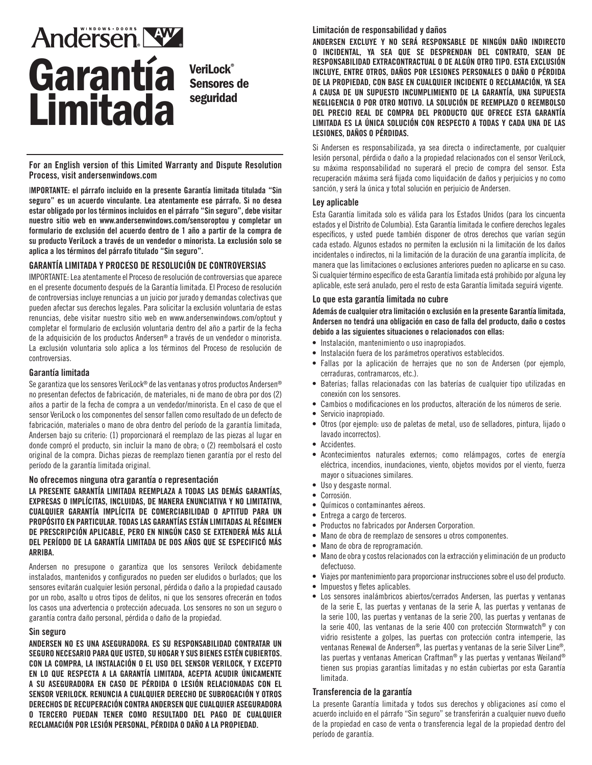# **Andersen NY** Garantía **Limitada**

**VeriLock®** Sensores de seguridad

For an English version of this Limited Warranty and Dispute Resolution Process, visit andersenwindows.com

I**MPORTANTE: el párrafo incluido en la presente Garantía limitada titulada "Sin seguro" es un acuerdo vinculante. Lea atentamente ese párrafo. Si no desea estar obligado por los términos incluidos en el párrafo "Sin seguro", debe visitar nuestro sitio web en www.andersenwindows.com/sensoroptou y completar un formulario de exclusión del acuerdo dentro de 1 año a partir de la compra de su producto VeriLock a través de un vendedor o minorista. La exclusión solo se aplica a los términos del párrafo titulado "Sin seguro".**

# **GARANTÍA LIMITADA Y PROCESO DE RESOLUCIÓN DE CONTROVERSIAS**

IMPORTANTE: Lea atentamente el Proceso de resolución de controversias que aparece en el presente documento después de la Garantía limitada. El Proceso de resolución de controversias incluye renuncias a un juicio por jurado y demandas colectivas que pueden afectar sus derechos legales. Para solicitar la exclusión voluntaria de estas renuncias, debe visitar nuestro sitio web en www.andersenwindows.com/optout y completar el formulario de exclusión voluntaria dentro del año a partir de la fecha de la adquisición de los productos Andersen® a través de un vendedor o minorista. La exclusión voluntaria solo aplica a los términos del Proceso de resolución de controversias.

#### **Garantía limitada**

Se garantiza que los sensores VeriLock® de las ventanas y otros productos Andersen® no presentan defectos de fabricación, de materiales, ni de mano de obra por dos (2) años a partir de la fecha de compra a un vendedor/minorista. En el caso de que el sensor VeriLock o los componentes del sensor fallen como resultado de un defecto de fabricación, materiales o mano de obra dentro del período de la garantía limitada, Andersen bajo su criterio: (1) proporcionará el reemplazo de las piezas al lugar en donde compró el producto, sin incluir la mano de obra; o (2) reembolsará el costo original de la compra. Dichas piezas de reemplazo tienen garantía por el resto del período de la garantía limitada original.

#### **No ofrecemos ninguna otra garantía o representación**

**LA PRESENTE GARANTÍA LIMITADA REEMPLAZA A TODAS LAS DEMÁS GARANTÍAS, EXPRESAS O IMPLÍCITAS, INCLUIDAS, DE MANERA ENUNCIATIVA Y NO LIMITATIVA, CUALQUIER GARANTÍA IMPLÍCITA DE COMERCIABILIDAD O APTITUD PARA UN PROPÓSITO EN PARTICULAR. TODAS LAS GARANTÍAS ESTÁN LIMITADAS AL RÉGIMEN DE PRESCRIPCIÓN APLICABLE, PERO EN NINGÚN CASO SE EXTENDERÁ MÁS ALLÁ DEL PERÍODO DE LA GARANTÍA LIMITADA DE DOS AÑOS QUE SE ESPECIFICÓ MÁS ARRIBA.**

Andersen no presupone o garantiza que los sensores Verilock debidamente instalados, mantenidos y configurados no pueden ser eludidos o burlados; que los sensores evitarán cualquier lesión personal, pérdida o daño a la propiedad causado por un robo, asalto u otros tipos de delitos, ni que los sensores ofrecerán en todos los casos una advertencia o protección adecuada. Los sensores no son un seguro o garantía contra daño personal, pérdida o daño de la propiedad.

#### **Sin seguro**

**ANDERSEN NO ES UNA ASEGURADORA. ES SU RESPONSABILIDAD CONTRATAR UN SEGURO NECESARIO PARA QUE USTED, SU HOGAR Y SUS BIENES ESTÉN CUBIERTOS. CON LA COMPRA, LA INSTALACIÓN O EL USO DEL SENSOR VERILOCK, Y EXCEPTO EN LO QUE RESPECTA A LA GARANTÍA LIMITADA, ACEPTA ACUDIR ÚNICAMENTE A SU ASEGURADORA EN CASO DE PÉRDIDA O LESIÓN RELACIONADAS CON EL SENSOR VERILOCK. RENUNCIA A CUALQUIER DERECHO DE SUBROGACIÓN Y OTROS DERECHOS DE RECUPERACIÓN CONTRA ANDERSEN QUE CUALQUIER ASEGURADORA O TERCERO PUEDAN TENER COMO RESULTADO DEL PAGO DE CUALQUIER RECLAMACIÓN POR LESIÓN PERSONAL, PÉRDIDA O DAÑ**O **A LA PROPIEDAD.** 

#### **Limitación de responsabilidad y daños**

**ANDERSEN EXCLUYE Y NO SERÁ RESPONSABLE DE NINGÚN DAÑO INDIRECTO O INCIDENTAL, YA SEA QUE SE DESPRENDAN DEL CONTRATO, SEAN DE RESPONSABILIDAD EXTRACONTRACTUAL O DE ALGÚN OTRO TIPO. ESTA EXCLUSIÓN INCLUYE, ENTRE OTROS, DAÑOS POR LESIONES PERSONALES O DAÑO O PÉRDIDA DE LA PROPIEDAD, CON BASE EN CUALQUIER INCIDENTE O RECLAMACIÓN, YA SEA A CAUSA DE UN SUPUESTO INCUMPLIMIENTO DE LA GARANTÍA, UNA SUPUESTA NEGLIGENCIA O POR OTRO MOTIVO. LA SOLUCIÓN DE REEMPLAZO O REEMBOLSO DEL PRECIO REAL DE COMPRA DEL PRODUCTO QUE OFRECE ESTA GARANTÍA LIMITADA ES LA ÚNICA SOLUCIÓN CON RESPECTO A TODAS Y CADA UNA DE LAS LESIONES, DAÑOS O PÉRDIDAS.** 

Si Andersen es responsabilizada, ya sea directa o indirectamente, por cualquier lesión personal, pérdida o daño a la propiedad relacionados con el sensor VeriLock, su máxima responsabilidad no superará el precio de compra del sensor. Esta recuperación máxima será fijada como liquidación de daños y perjuicios y no como sanción, y será la única y total solución en perjuicio de Andersen.

#### **Ley aplicable**

Esta Garantía limitada solo es válida para los Estados Unidos (para los cincuenta estados y el Distrito de Columbia). Esta Garantía limitada le confiere derechos legales específicos, y usted puede también disponer de otros derechos que varían según cada estado. Algunos estados no permiten la exclusión ni la limitación de los daños incidentales o indirectos, ni la limitación de la duración de una garantía implícita, de manera que las limitaciones o exclusiones anteriores pueden no aplicarse en su caso. Si cualquier término específico de esta Garantía limitada está prohibido por alguna ley aplicable, este será anulado, pero el resto de esta Garantía limitada seguirá vigente.

#### **Lo que esta garantía limitada no cubre**

A**demás de cualquier otra limitación o exclusión en la presente Garantía limitada, Andersen no tendrá una obligación en caso de falla del producto, daño o costos debido a las siguientes situaciones o relacionados con ellas:**

- Instalación, mantenimiento o uso inapropiados.
- Instalación fuera de los parámetros operativos establecidos.
- Fallas por la aplicación de herrajes que no son de Andersen (por ejemplo, cerraduras, contramarcos, etc.).
- Baterías; fallas relacionadas con las baterías de cualquier tipo utilizadas en conexión con los sensores.
- Cambios o modificaciones en los productos, alteración de los números de serie.
- Servicio inapropiado.<br>• Otros (por ejemplo: u
- Otros (por ejemplo: uso de paletas de metal, uso de selladores, pintura, lijado o lavado incorrectos).
- Accidentes.
- Acontecimientos naturales externos; como relámpagos, cortes de energía eléctrica, incendios, inundaciones, viento, objetos movidos por el viento, fuerza mayor o situaciones similares.
- Uso y desgaste normal.
- Corrosión.
- Químicos o contaminantes aéreos.
- Entrega a cargo de terceros.
- Productos no fabricados por Andersen Corporation.
- Mano de obra de reemplazo de sensores u otros componentes.
- Mano de obra de reprogramación.
- Mano de obra y costos relacionados con la extracción y eliminación de un producto defectuoso.
- Viajes por mantenimiento para proporcionar instrucciones sobre el uso del producto.
- Impuestos y fletes aplicables.
- Los sensores inalámbricos abiertos/cerrados Andersen, las puertas y ventanas de la serie E, las puertas y ventanas de la serie A, las puertas y ventanas de la serie 100, las puertas y ventanas de la serie 200, las puertas y ventanas de la serie 400, las ventanas de la serie 400 con protección Stormwatch® y con vidrio resistente a golpes, las puertas con protección contra intemperie, las ventanas Renewal de Andersen®, las puertas y ventanas de la serie Silver Line®, las puertas y ventanas American Craftman® y las puertas y ventanas Weiland® tienen sus propias garantías limitadas y no están cubiertas por esta Garantía limitada.

#### **Transferencia de la garantía**

La presente Garantía limitada y todos sus derechos y obligaciones así como el acuerdo incluido en el párrafo "Sin seguro" se transferirán a cualquier nuevo dueño de la propiedad en caso de venta o transferencia legal de la propiedad dentro del período de garantía.